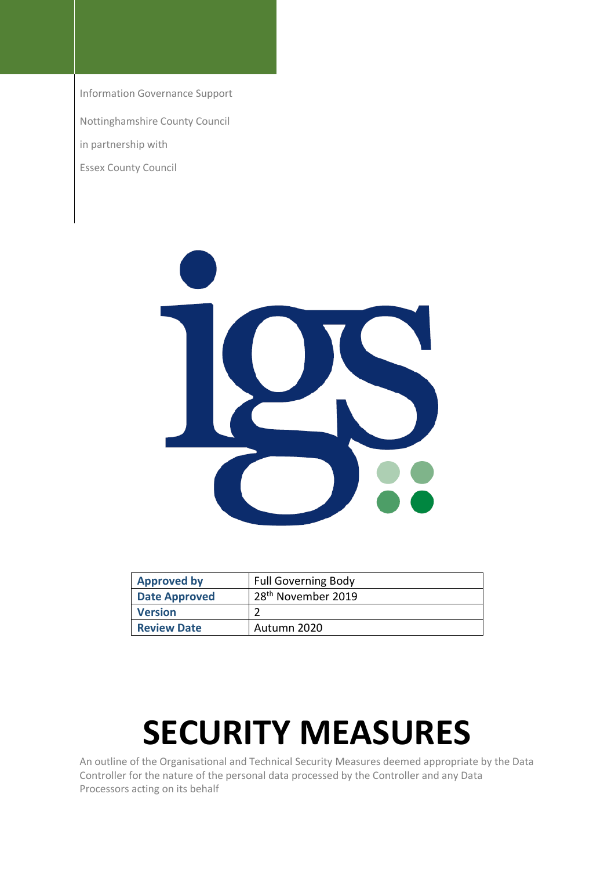Information Governance Support

Nottinghamshire County Council

in partnership with

Essex County Council



| <b>Approved by</b>   | <b>Full Governing Body</b>     |
|----------------------|--------------------------------|
| <b>Date Approved</b> | 28 <sup>th</sup> November 2019 |
| <b>Version</b>       |                                |
| <b>Review Date</b>   | Autumn 2020                    |

# **SECURITY MEASURES**

An outline of the Organisational and Technical Security Measures deemed appropriate by the Data Controller for the nature of the personal data processed by the Controller and any Data Processors acting on its behalf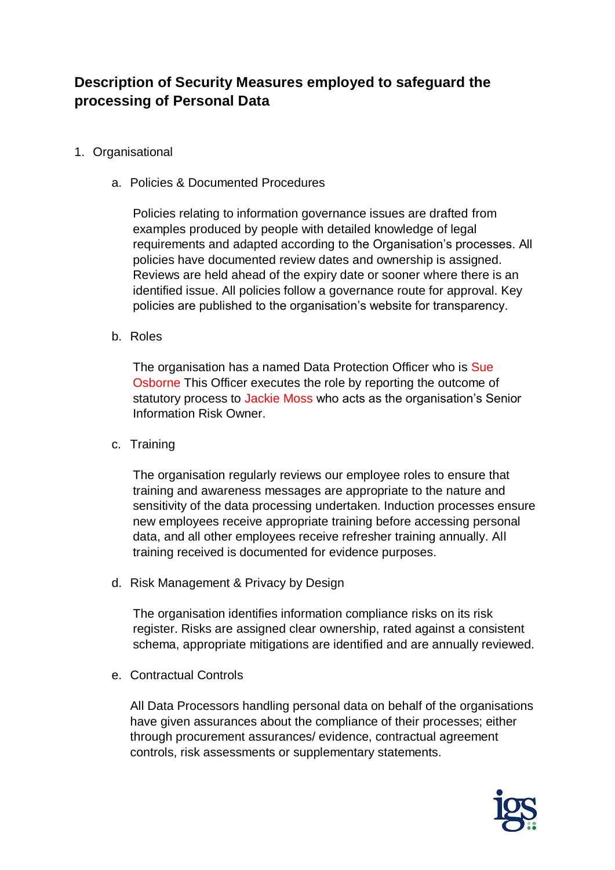## **Description of Security Measures employed to safeguard the processing of Personal Data**

#### 1. Organisational

a. Policies & Documented Procedures

Policies relating to information governance issues are drafted from examples produced by people with detailed knowledge of legal requirements and adapted according to the Organisation's processes. All policies have documented review dates and ownership is assigned. Reviews are held ahead of the expiry date or sooner where there is an identified issue. All policies follow a governance route for approval. Key policies are published to the organisation's website for transparency.

b. Roles

The organisation has a named Data Protection Officer who is Sue Osborne This Officer executes the role by reporting the outcome of statutory process to Jackie Moss who acts as the organisation's Senior Information Risk Owner.

c. Training

The organisation regularly reviews our employee roles to ensure that training and awareness messages are appropriate to the nature and sensitivity of the data processing undertaken. Induction processes ensure new employees receive appropriate training before accessing personal data, and all other employees receive refresher training annually. All training received is documented for evidence purposes.

d. Risk Management & Privacy by Design

The organisation identifies information compliance risks on its risk register. Risks are assigned clear ownership, rated against a consistent schema, appropriate mitigations are identified and are annually reviewed.

e. Contractual Controls

All Data Processors handling personal data on behalf of the organisations have given assurances about the compliance of their processes; either through procurement assurances/ evidence, contractual agreement controls, risk assessments or supplementary statements.

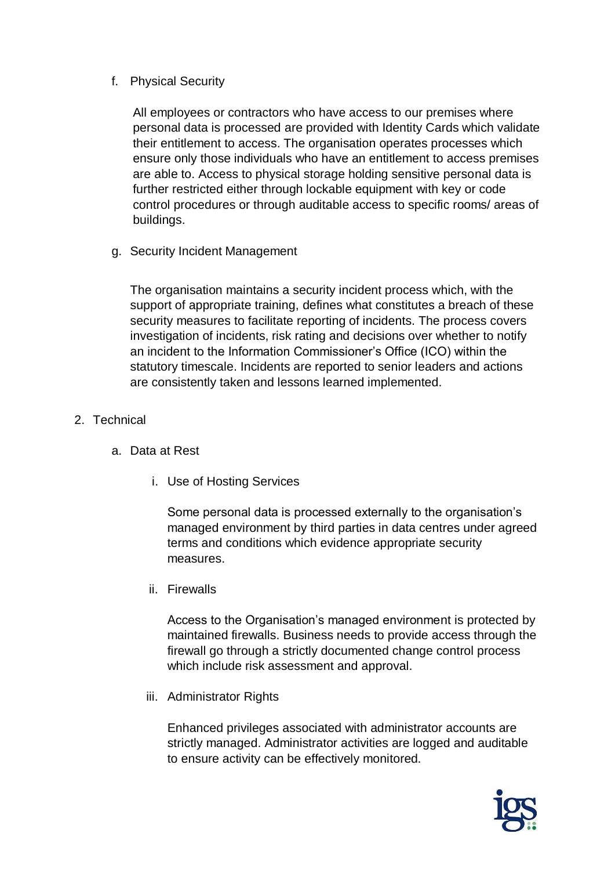### f. Physical Security

All employees or contractors who have access to our premises where personal data is processed are provided with Identity Cards which validate their entitlement to access. The organisation operates processes which ensure only those individuals who have an entitlement to access premises are able to. Access to physical storage holding sensitive personal data is further restricted either through lockable equipment with key or code control procedures or through auditable access to specific rooms/ areas of buildings.

g. Security Incident Management

The organisation maintains a security incident process which, with the support of appropriate training, defines what constitutes a breach of these security measures to facilitate reporting of incidents. The process covers investigation of incidents, risk rating and decisions over whether to notify an incident to the Information Commissioner's Office (ICO) within the statutory timescale. Incidents are reported to senior leaders and actions are consistently taken and lessons learned implemented.

- 2. Technical
	- a. Data at Rest
		- i. Use of Hosting Services

Some personal data is processed externally to the organisation's managed environment by third parties in data centres under agreed terms and conditions which evidence appropriate security measures.

ii. Firewalls

Access to the Organisation's managed environment is protected by maintained firewalls. Business needs to provide access through the firewall go through a strictly documented change control process which include risk assessment and approval.

iii. Administrator Rights

Enhanced privileges associated with administrator accounts are strictly managed. Administrator activities are logged and auditable to ensure activity can be effectively monitored.

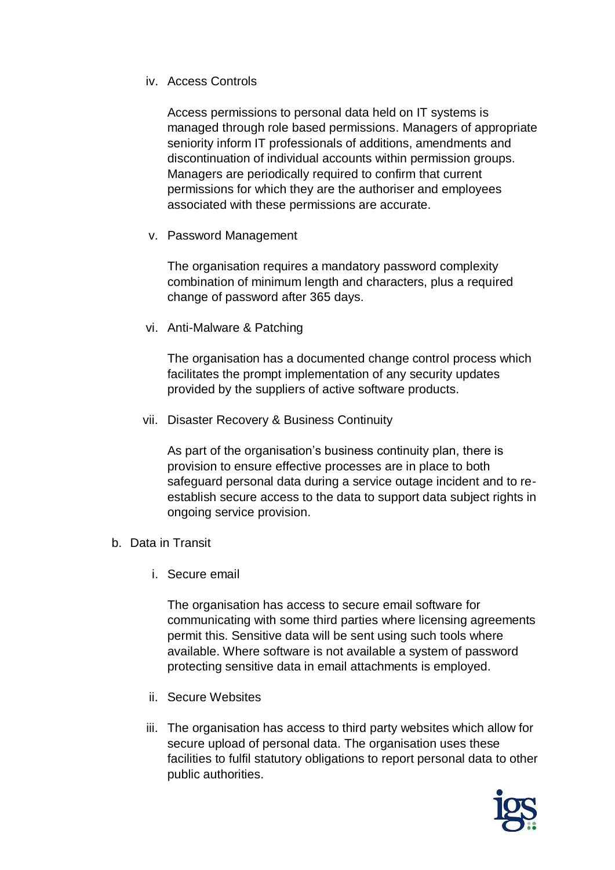#### iv. Access Controls

Access permissions to personal data held on IT systems is managed through role based permissions. Managers of appropriate seniority inform IT professionals of additions, amendments and discontinuation of individual accounts within permission groups. Managers are periodically required to confirm that current permissions for which they are the authoriser and employees associated with these permissions are accurate.

v. Password Management

The organisation requires a mandatory password complexity combination of minimum length and characters, plus a required change of password after 365 days.

vi. Anti-Malware & Patching

The organisation has a documented change control process which facilitates the prompt implementation of any security updates provided by the suppliers of active software products.

vii. Disaster Recovery & Business Continuity

As part of the organisation's business continuity plan, there is provision to ensure effective processes are in place to both safeguard personal data during a service outage incident and to reestablish secure access to the data to support data subject rights in ongoing service provision.

- b. Data in Transit
	- i. Secure email

The organisation has access to secure email software for communicating with some third parties where licensing agreements permit this. Sensitive data will be sent using such tools where available. Where software is not available a system of password protecting sensitive data in email attachments is employed.

- ii. Secure Websites
- iii. The organisation has access to third party websites which allow for secure upload of personal data. The organisation uses these facilities to fulfil statutory obligations to report personal data to other public authorities.